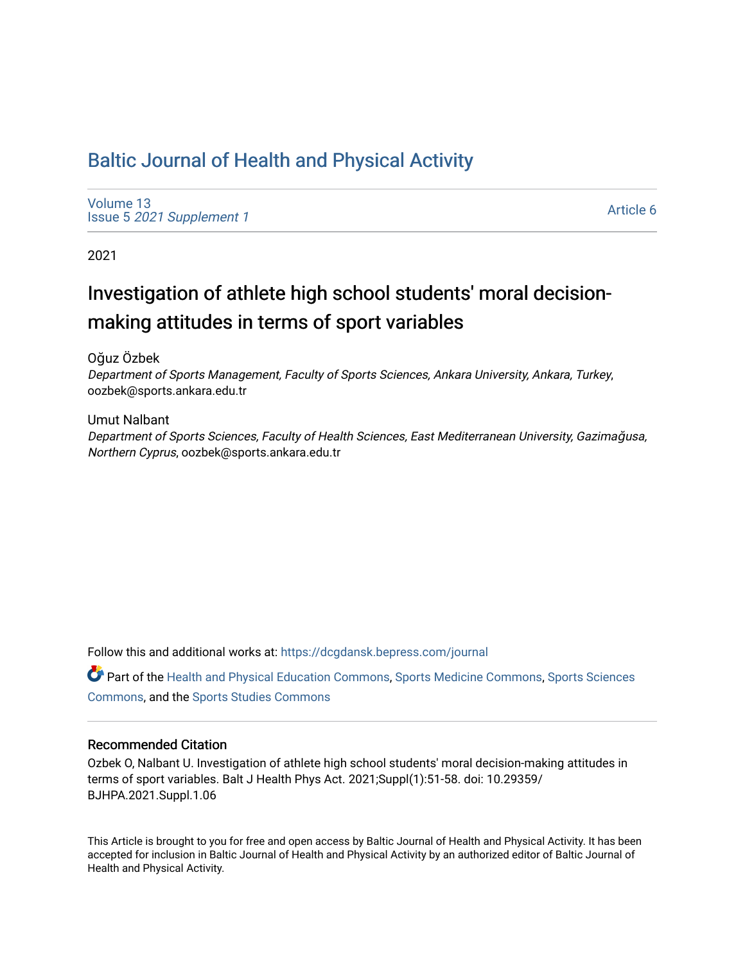## [Baltic Journal of Health and Physical Activity](https://dcgdansk.bepress.com/journal)

[Volume 13](https://dcgdansk.bepress.com/journal/vol13) Issue 5 [2021 Supplement 1](https://dcgdansk.bepress.com/journal/vol13/iss5) 

[Article 6](https://dcgdansk.bepress.com/journal/vol13/iss5/6) 

2021

# Investigation of athlete high school students' moral decisionmaking attitudes in terms of sport variables

Oğuz Özbek

Department of Sports Management, Faculty of Sports Sciences, Ankara University, Ankara, Turkey, oozbek@sports.ankara.edu.tr

Umut Nalbant Department of Sports Sciences, Faculty of Health Sciences, East Mediterranean University, Gazimağusa, Northern Cyprus, oozbek@sports.ankara.edu.tr

Follow this and additional works at: [https://dcgdansk.bepress.com/journal](https://dcgdansk.bepress.com/journal?utm_source=dcgdansk.bepress.com%2Fjournal%2Fvol13%2Fiss5%2F6&utm_medium=PDF&utm_campaign=PDFCoverPages)

Part of the [Health and Physical Education Commons](http://network.bepress.com/hgg/discipline/1327?utm_source=dcgdansk.bepress.com%2Fjournal%2Fvol13%2Fiss5%2F6&utm_medium=PDF&utm_campaign=PDFCoverPages), [Sports Medicine Commons,](http://network.bepress.com/hgg/discipline/1331?utm_source=dcgdansk.bepress.com%2Fjournal%2Fvol13%2Fiss5%2F6&utm_medium=PDF&utm_campaign=PDFCoverPages) [Sports Sciences](http://network.bepress.com/hgg/discipline/759?utm_source=dcgdansk.bepress.com%2Fjournal%2Fvol13%2Fiss5%2F6&utm_medium=PDF&utm_campaign=PDFCoverPages) [Commons](http://network.bepress.com/hgg/discipline/759?utm_source=dcgdansk.bepress.com%2Fjournal%2Fvol13%2Fiss5%2F6&utm_medium=PDF&utm_campaign=PDFCoverPages), and the [Sports Studies Commons](http://network.bepress.com/hgg/discipline/1198?utm_source=dcgdansk.bepress.com%2Fjournal%2Fvol13%2Fiss5%2F6&utm_medium=PDF&utm_campaign=PDFCoverPages) 

### Recommended Citation

Ozbek O, Nalbant U. Investigation of athlete high school students' moral decision-making attitudes in terms of sport variables. Balt J Health Phys Act. 2021;Suppl(1):51-58. doi: 10.29359/ BJHPA.2021.Suppl.1.06

This Article is brought to you for free and open access by Baltic Journal of Health and Physical Activity. It has been accepted for inclusion in Baltic Journal of Health and Physical Activity by an authorized editor of Baltic Journal of Health and Physical Activity.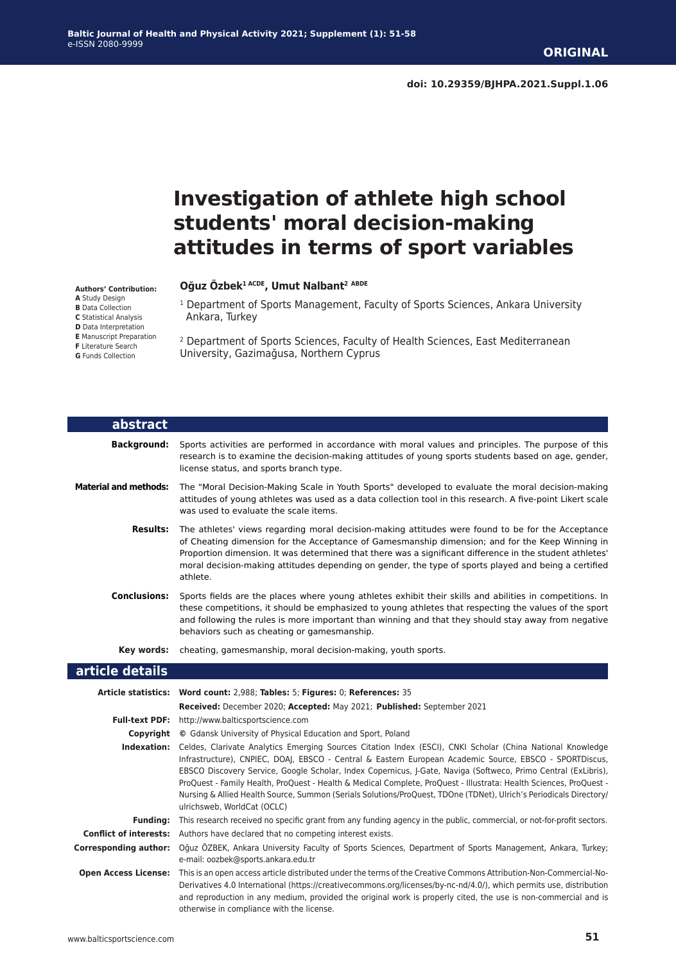# **Investigation of athlete high school students' moral decision-making attitudes in terms of sport variables**

#### **Authors' Contribution:**

**A** Study Design

**B** Data Collection

**C** Statistical Analysis

**D** Data Interpretation **E** Manuscript Preparation

**F** Literature Search

**G** Funds Collection

#### **Oğuz Özbek1 ACDE, Umut Nalbant2 ABDE**

<sup>1</sup> Department of Sports Management, Faculty of Sports Sciences, Ankara University Ankara, Turkey

2 Department of Sports Sciences, Faculty of Health Sciences, East Mediterranean University, Gazimağusa, Northern Cyprus

| abstract                     |                                                                                                                                                                                                                                                                                                                                                                                                                                                                                                                                                                                                                                |
|------------------------------|--------------------------------------------------------------------------------------------------------------------------------------------------------------------------------------------------------------------------------------------------------------------------------------------------------------------------------------------------------------------------------------------------------------------------------------------------------------------------------------------------------------------------------------------------------------------------------------------------------------------------------|
| <b>Background:</b>           | Sports activities are performed in accordance with moral values and principles. The purpose of this<br>research is to examine the decision-making attitudes of young sports students based on age, gender,<br>license status, and sports branch type.                                                                                                                                                                                                                                                                                                                                                                          |
| <b>Material and methods:</b> | The "Moral Decision-Making Scale in Youth Sports" developed to evaluate the moral decision-making<br>attitudes of young athletes was used as a data collection tool in this research. A five-point Likert scale<br>was used to evaluate the scale items.                                                                                                                                                                                                                                                                                                                                                                       |
| <b>Results:</b>              | The athletes' views regarding moral decision-making attitudes were found to be for the Acceptance<br>of Cheating dimension for the Acceptance of Gamesmanship dimension; and for the Keep Winning in<br>Proportion dimension. It was determined that there was a significant difference in the student athletes'<br>moral decision-making attitudes depending on gender, the type of sports played and being a certified<br>athlete.                                                                                                                                                                                           |
| <b>Conclusions:</b>          | Sports fields are the places where young athletes exhibit their skills and abilities in competitions. In<br>these competitions, it should be emphasized to young athletes that respecting the values of the sport<br>and following the rules is more important than winning and that they should stay away from negative<br>behaviors such as cheating or gamesmanship.                                                                                                                                                                                                                                                        |
| Key words:                   | cheating, gamesmanship, moral decision-making, youth sports.                                                                                                                                                                                                                                                                                                                                                                                                                                                                                                                                                                   |
| article details              |                                                                                                                                                                                                                                                                                                                                                                                                                                                                                                                                                                                                                                |
|                              | Article statistics: Word count: 2,988; Tables: 5; Figures: 0; References: 35                                                                                                                                                                                                                                                                                                                                                                                                                                                                                                                                                   |
|                              | Received: December 2020; Accepted: May 2021; Published: September 2021                                                                                                                                                                                                                                                                                                                                                                                                                                                                                                                                                         |
|                              | Full-text PDF: http://www.balticsportscience.com                                                                                                                                                                                                                                                                                                                                                                                                                                                                                                                                                                               |
|                              | <b>Copyright</b> © Gdansk University of Physical Education and Sport, Poland                                                                                                                                                                                                                                                                                                                                                                                                                                                                                                                                                   |
|                              | Indexation: Celdes, Clarivate Analytics Emerging Sources Citation Index (ESCI), CNKI Scholar (China National Knowledge<br>Infrastructure), CNPIEC, DOAI, EBSCO - Central & Eastern European Academic Source, EBSCO - SPORTDiscus,<br>EBSCO Discovery Service, Google Scholar, Index Copernicus, J-Gate, Naviga (Softweco, Primo Central (ExLibris),<br>ProQuest - Family Health, ProQuest - Health & Medical Complete, ProQuest - Illustrata: Health Sciences, ProQuest -<br>Nursing & Allied Health Source, Summon (Serials Solutions/ProQuest, TDOne (TDNet), Ulrich's Periodicals Directory/<br>ulrichsweb, WorldCat (OCLC) |
| <b>Funding:</b>              | This research received no specific grant from any funding agency in the public, commercial, or not-for-profit sectors.                                                                                                                                                                                                                                                                                                                                                                                                                                                                                                         |
|                              | <b>Conflict of interests:</b> Authors have declared that no competing interest exists.                                                                                                                                                                                                                                                                                                                                                                                                                                                                                                                                         |
| <b>Corresponding author:</b> | Oğuz ÖZBEK, Ankara University Faculty of Sports Sciences, Department of Sports Management, Ankara, Turkey;<br>e-mail: oozbek@sports.ankara.edu.tr                                                                                                                                                                                                                                                                                                                                                                                                                                                                              |
| <b>Open Access License:</b>  | This is an open access article distributed under the terms of the Creative Commons Attribution-Non-Commercial-No-                                                                                                                                                                                                                                                                                                                                                                                                                                                                                                              |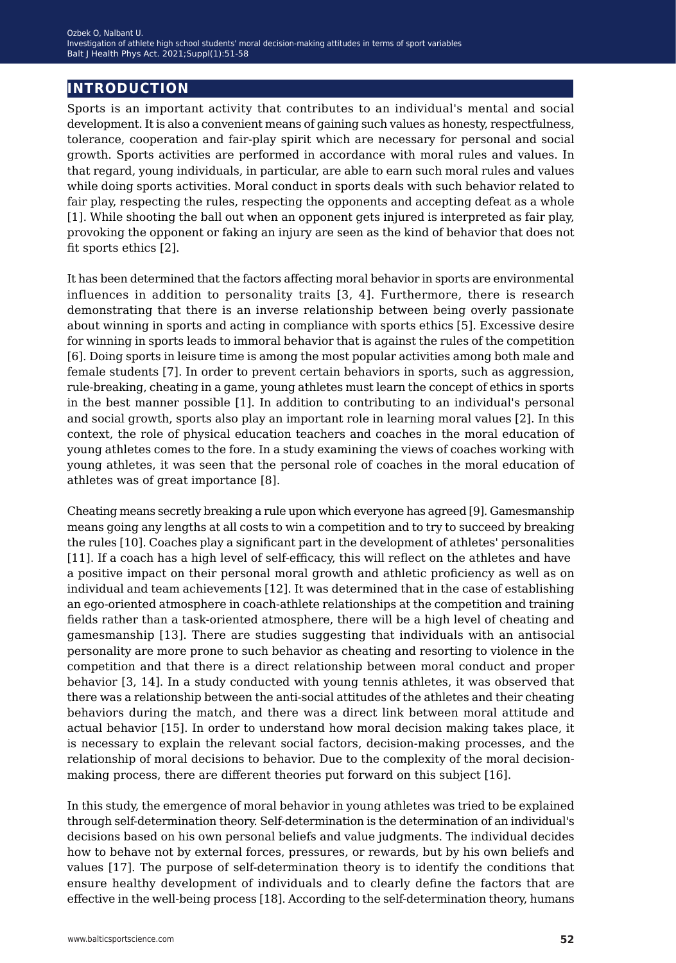## **introduction**

Sports is an important activity that contributes to an individual's mental and social development. It is also a convenient means of gaining such values as honesty, respectfulness, tolerance, cooperation and fair-play spirit which are necessary for personal and social growth. Sports activities are performed in accordance with moral rules and values. In that regard, young individuals, in particular, are able to earn such moral rules and values while doing sports activities. Moral conduct in sports deals with such behavior related to fair play, respecting the rules, respecting the opponents and accepting defeat as a whole [1]. While shooting the ball out when an opponent gets injured is interpreted as fair play, provoking the opponent or faking an injury are seen as the kind of behavior that does not fit sports ethics [2].

It has been determined that the factors affecting moral behavior in sports are environmental influences in addition to personality traits [3, 4]. Furthermore, there is research demonstrating that there is an inverse relationship between being overly passionate about winning in sports and acting in compliance with sports ethics [5]. Excessive desire for winning in sports leads to immoral behavior that is against the rules of the competition [6]. Doing sports in leisure time is among the most popular activities among both male and female students [7]. In order to prevent certain behaviors in sports, such as aggression, rule-breaking, cheating in a game, young athletes must learn the concept of ethics in sports in the best manner possible [1]. In addition to contributing to an individual's personal and social growth, sports also play an important role in learning moral values [2]. In this context, the role of physical education teachers and coaches in the moral education of young athletes comes to the fore. In a study examining the views of coaches working with young athletes, it was seen that the personal role of coaches in the moral education of athletes was of great importance [8].

Cheating means secretly breaking a rule upon which everyone has agreed [9]. Gamesmanship means going any lengths at all costs to win a competition and to try to succeed by breaking the rules [10]. Coaches play a significant part in the development of athletes' personalities [11]. If a coach has a high level of self-efficacy, this will reflect on the athletes and have a positive impact on their personal moral growth and athletic proficiency as well as on individual and team achievements [12]. It was determined that in the case of establishing an ego-oriented atmosphere in coach-athlete relationships at the competition and training fields rather than a task-oriented atmosphere, there will be a high level of cheating and gamesmanship [13]. There are studies suggesting that individuals with an antisocial personality are more prone to such behavior as cheating and resorting to violence in the competition and that there is a direct relationship between moral conduct and proper behavior [3, 14]. In a study conducted with young tennis athletes, it was observed that there was a relationship between the anti-social attitudes of the athletes and their cheating behaviors during the match, and there was a direct link between moral attitude and actual behavior [15]. In order to understand how moral decision making takes place, it is necessary to explain the relevant social factors, decision-making processes, and the relationship of moral decisions to behavior. Due to the complexity of the moral decisionmaking process, there are different theories put forward on this subject [16].

In this study, the emergence of moral behavior in young athletes was tried to be explained through self-determination theory. Self-determination is the determination of an individual's decisions based on his own personal beliefs and value judgments. The individual decides how to behave not by external forces, pressures, or rewards, but by his own beliefs and values [17]. The purpose of self-determination theory is to identify the conditions that ensure healthy development of individuals and to clearly define the factors that are effective in the well-being process [18]. According to the self-determination theory, humans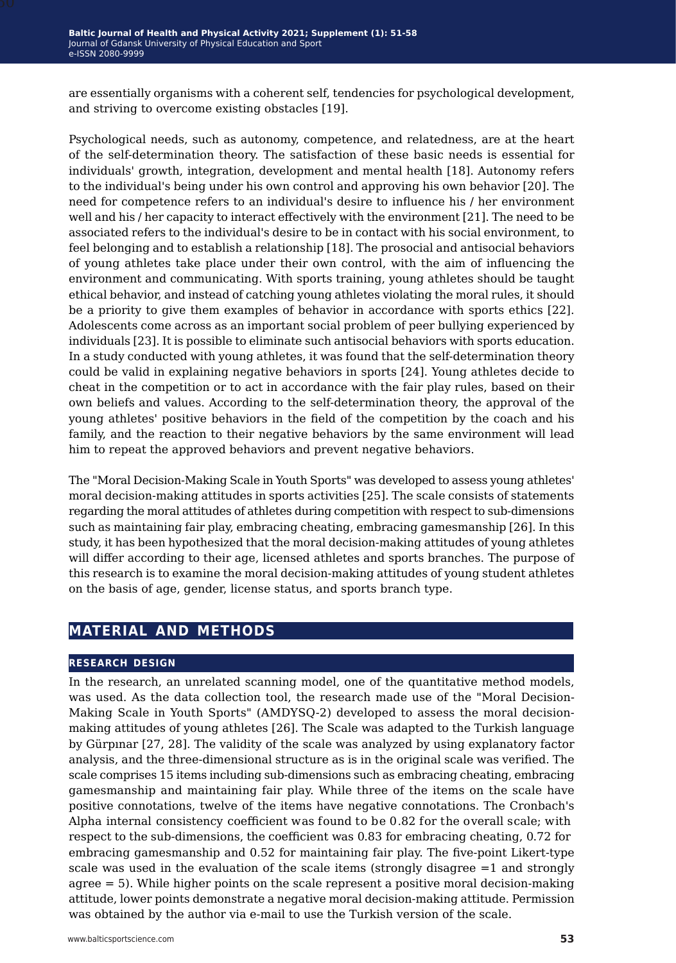are essentially organisms with a coherent self, tendencies for psychological development, and striving to overcome existing obstacles [19].

Psychological needs, such as autonomy, competence, and relatedness, are at the heart of the self-determination theory. The satisfaction of these basic needs is essential for individuals' growth, integration, development and mental health [18]. Autonomy refers to the individual's being under his own control and approving his own behavior [20]. The need for competence refers to an individual's desire to influence his / her environment well and his / her capacity to interact effectively with the environment [21]. The need to be associated refers to the individual's desire to be in contact with his social environment, to feel belonging and to establish a relationship [18]. The prosocial and antisocial behaviors of young athletes take place under their own control, with the aim of influencing the environment and communicating. With sports training, young athletes should be taught ethical behavior, and instead of catching young athletes violating the moral rules, it should be a priority to give them examples of behavior in accordance with sports ethics [22]. Adolescents come across as an important social problem of peer bullying experienced by individuals [23]. It is possible to eliminate such antisocial behaviors with sports education. In a study conducted with young athletes, it was found that the self-determination theory could be valid in explaining negative behaviors in sports [24]. Young athletes decide to cheat in the competition or to act in accordance with the fair play rules, based on their own beliefs and values. According to the self-determination theory, the approval of the young athletes' positive behaviors in the field of the competition by the coach and his family, and the reaction to their negative behaviors by the same environment will lead him to repeat the approved behaviors and prevent negative behaviors.

The "Moral Decision-Making Scale in Youth Sports" was developed to assess young athletes' moral decision-making attitudes in sports activities [25]. The scale consists of statements regarding the moral attitudes of athletes during competition with respect to sub-dimensions such as maintaining fair play, embracing cheating, embracing gamesmanship [26]. In this study, it has been hypothesized that the moral decision-making attitudes of young athletes will differ according to their age, licensed athletes and sports branches. The purpose of this research is to examine the moral decision-making attitudes of young student athletes on the basis of age, gender, license status, and sports branch type.

## **material and methods**

#### **research design**

In the research, an unrelated scanning model, one of the quantitative method models, was used. As the data collection tool, the research made use of the "Moral Decision-Making Scale in Youth Sports" (AMDYSQ-2) developed to assess the moral decisionmaking attitudes of young athletes [26]. The Scale was adapted to the Turkish language by Gürpınar [27, 28]. The validity of the scale was analyzed by using explanatory factor analysis, and the three-dimensional structure as is in the original scale was verified. The scale comprises 15 items including sub-dimensions such as embracing cheating, embracing gamesmanship and maintaining fair play. While three of the items on the scale have positive connotations, twelve of the items have negative connotations. The Cronbach's Alpha internal consistency coefficient was found to be 0.82 for the overall scale; with respect to the sub-dimensions, the coefficient was 0.83 for embracing cheating, 0.72 for embracing gamesmanship and 0.52 for maintaining fair play. The five-point Likert-type scale was used in the evaluation of the scale items (strongly disagree =1 and strongly agree = 5). While higher points on the scale represent a positive moral decision-making attitude, lower points demonstrate a negative moral decision-making attitude. Permission was obtained by the author via e-mail to use the Turkish version of the scale.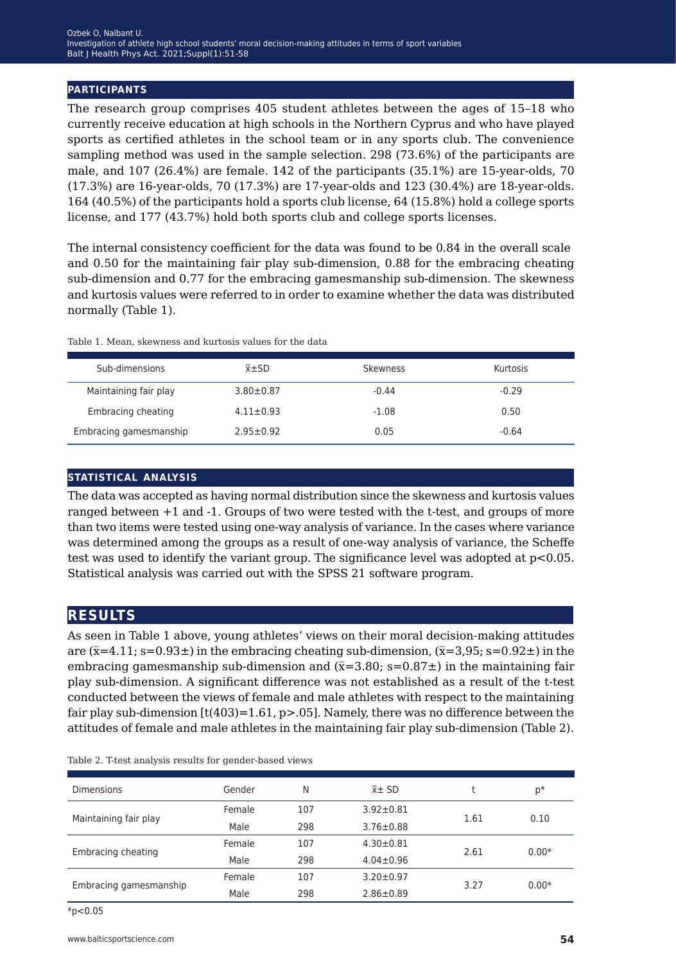#### **participants**

The research group comprises 405 student athletes between the ages of 15–18 who currently receive education at high schools in the Northern Cyprus and who have played sports as certified athletes in the school team or in any sports club. The convenience sampling method was used in the sample selection. 298 (73.6%) of the participants are male, and 107 (26.4%) are female. 142 of the participants (35.1%) are 15-year-olds, 70 (17.3%) are 16-year-olds, 70 (17.3%) are 17-year-olds and 123 (30.4%) are 18-year-olds. 164 (40.5%) of the participants hold a sports club license, 64 (15.8%) hold a college sports license, and 177 (43.7%) hold both sports club and college sports licenses.

The internal consistency coefficient for the data was found to be 0.84 in the overall scale and 0.50 for the maintaining fair play sub-dimension, 0.88 for the embracing cheating sub-dimension and 0.77 for the embracing gamesmanship sub-dimension. The skewness and kurtosis values were referred to in order to examine whether the data was distributed normally (Table 1).

Table 1. Mean, skewness and kurtosis values for the data

| Sub-dimensions         | $\bar{x}$ $\pm$ SD | Skewness | Kurtosis |
|------------------------|--------------------|----------|----------|
| Maintaining fair play  | $3.80 \pm 0.87$    | $-0.44$  | $-0.29$  |
| Embracing cheating     | $4.11 \pm 0.93$    | $-1.08$  | 0.50     |
| Embracing gamesmanship | $2.95 + 0.92$      | 0.05     | $-0.64$  |

#### **statistical analysis**

The data was accepted as having normal distribution since the skewness and kurtosis values ranged between +1 and -1. Groups of two were tested with the t-test, and groups of more than two items were tested using one-way analysis of variance. In the cases where variance was determined among the groups as a result of one-way analysis of variance, the Scheffe test was used to identify the variant group. The significance level was adopted at  $p<0.05$ . Statistical analysis was carried out with the SPSS 21 software program.

## **results**

As seen in Table 1 above, young athletes' views on their moral decision-making attitudes are  $(\bar{x}=4.11; s=0.93\pm)$  in the embracing cheating sub-dimension,  $(\bar{x}=3.95; s=0.92\pm)$  in the embracing gamesmanship sub-dimension and  $(\bar{x}=3.80; s=0.87\pm)$  in the maintaining fair play sub-dimension. A significant difference was not established as a result of the t-test conducted between the views of female and male athletes with respect to the maintaining fair play sub-dimension  $[t(403)=1.61, p>0.05]$ . Namely, there was no difference between the attitudes of female and male athletes in the maintaining fair play sub-dimension (Table 2).

|  |  |  |  |  | Table 2. T-test analysis results for gender-based views |
|--|--|--|--|--|---------------------------------------------------------|
|--|--|--|--|--|---------------------------------------------------------|

| <b>Dimensions</b>      | Gender | Ν   | $\bar{x}$ $\pm$ SD | t    | $p*$    |
|------------------------|--------|-----|--------------------|------|---------|
| Maintaining fair play  | Female | 107 | $3.92 \pm 0.81$    | 1.61 | 0.10    |
|                        | Male   | 298 | $3.76 \pm 0.88$    |      |         |
|                        | Female | 107 | $4.30 \pm 0.81$    | 2.61 | $0.00*$ |
| Embracing cheating     | Male   | 298 | $4.04 \pm 0.96$    |      |         |
| Embracing gamesmanship | Female | 107 | $3.20 \pm 0.97$    | 3.27 | $0.00*$ |
|                        | Male   | 298 | $2.86 \pm 0.89$    |      |         |

 $*p<0.05$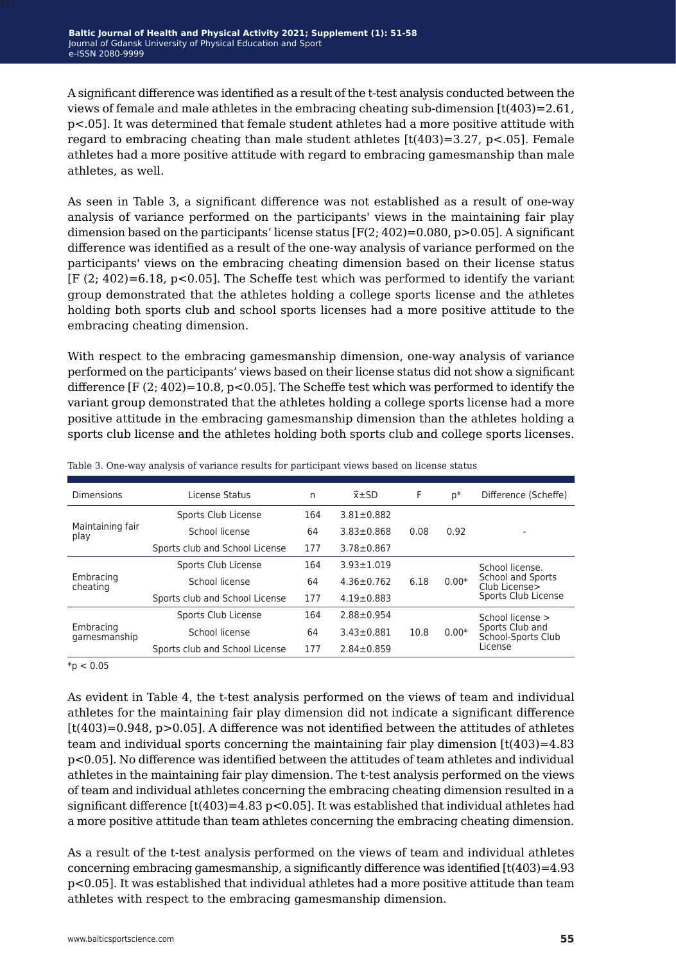A significant difference was identified as a result of the t-test analysis conducted between the views of female and male athletes in the embracing cheating sub-dimension  $[t(403)=2.61]$ , p<.05]. It was determined that female student athletes had a more positive attitude with regard to embracing cheating than male student athletes  $\lceil t(403)=3.27, p<0.05 \rceil$ . Female athletes had a more positive attitude with regard to embracing gamesmanship than male athletes, as well.

As seen in Table 3, a significant difference was not established as a result of one-way analysis of variance performed on the participants' views in the maintaining fair play dimension based on the participants' license status  $[F(2; 402)=0.080, p>0.05]$ . A significant difference was identified as a result of the one-way analysis of variance performed on the participants' views on the embracing cheating dimension based on their license status  $[F(2, 402)=6.18, p<0.05]$ . The Scheffe test which was performed to identify the variant group demonstrated that the athletes holding a college sports license and the athletes holding both sports club and school sports licenses had a more positive attitude to the embracing cheating dimension.

With respect to the embracing gamesmanship dimension, one-way analysis of variance performed on the participants' views based on their license status did not show a significant difference  $[F(2; 402)=10.8, p<0.05]$ . The Scheffe test which was performed to identify the variant group demonstrated that the athletes holding a college sports license had a more positive attitude in the embracing gamesmanship dimension than the athletes holding a sports club license and the athletes holding both sports club and college sports licenses.

| <b>Dimensions</b>         | License Status                 | n   | $\bar{x}$ $\pm$ SD | F    | $p*$    | Difference (Scheffe)                                      |
|---------------------------|--------------------------------|-----|--------------------|------|---------|-----------------------------------------------------------|
|                           | Sports Club License            | 164 | $3.81 \pm 0.882$   |      |         |                                                           |
| Maintaining fair<br>play  | School license                 | 64  | $3.83 \pm 0.868$   | 0.08 | 0.92    |                                                           |
|                           | Sports club and School License | 177 | $3.78 \pm 0.867$   |      |         |                                                           |
|                           | Sports Club License            | 164 | $3.93 \pm 1.019$   |      |         | School license.                                           |
| Embracing<br>cheating     | School license                 | 64  | $4.36 \pm 0.762$   | 6.18 | $0.00*$ | School and Sports<br>Club License><br>Sports Club License |
|                           | Sports club and School License | 177 | $4.19 \pm 0.883$   |      |         |                                                           |
| Embracing<br>gamesmanship | Sports Club License            | 164 | $2.88 \pm 0.954$   |      |         | School license >                                          |
|                           | School license                 | 64  | $3.43 \pm 0.881$   | 10.8 | $0.00*$ | Sports Club and<br>School-Sports Club                     |
|                           | Sports club and School License |     | $2.84 \pm 0.859$   |      |         | License                                                   |

Table 3. One-way analysis of variance results for participant views based on license status

 $*p < 0.05$ 

As evident in Table 4, the t-test analysis performed on the views of team and individual athletes for the maintaining fair play dimension did not indicate a significant difference [t(403)=0.948, p>0.05]. A difference was not identified between the attitudes of athletes team and individual sports concerning the maintaining fair play dimension  $\left[\frac{t(403)}{=4.83}\right]$ p<0.05]. No difference was identified between the attitudes of team athletes and individual athletes in the maintaining fair play dimension. The t-test analysis performed on the views of team and individual athletes concerning the embracing cheating dimension resulted in a significant difference  $[t(403)=4.83 \text{ p} < 0.05]$ . It was established that individual athletes had a more positive attitude than team athletes concerning the embracing cheating dimension.

As a result of the t-test analysis performed on the views of team and individual athletes concerning embracing gamesmanship, a significantly difference was identified [t(403)=4.93 p<0.05]. It was established that individual athletes had a more positive attitude than team athletes with respect to the embracing gamesmanship dimension.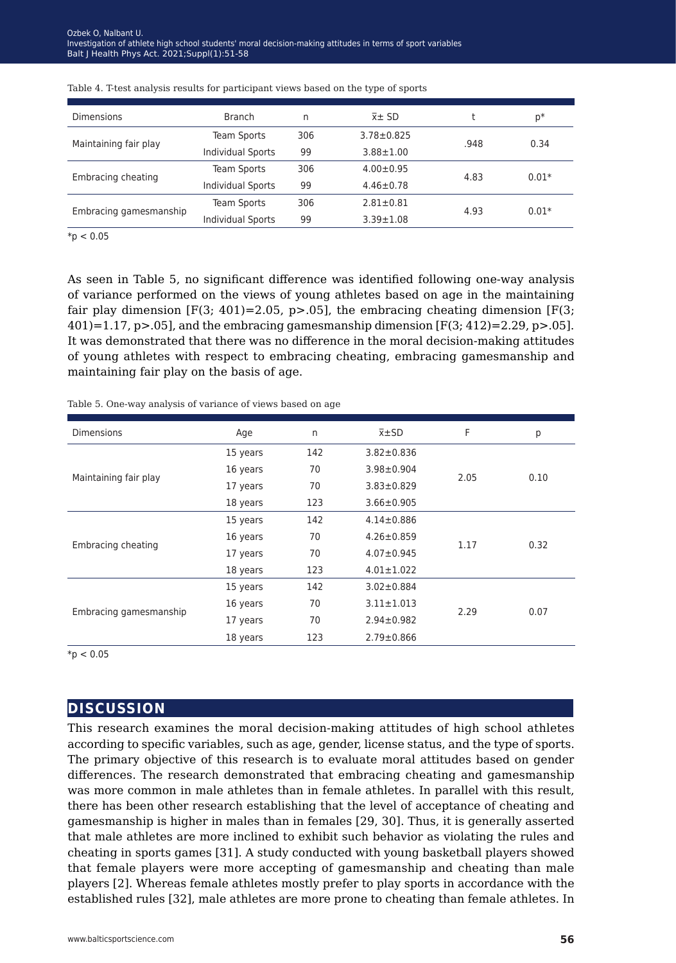| <b>Dimensions</b>      | <b>Branch</b>            | n   | $\bar{x}$ $\pm$ SD |      | p*      |
|------------------------|--------------------------|-----|--------------------|------|---------|
|                        | <b>Team Sports</b>       | 306 | $3.78 \pm 0.825$   | .948 | 0.34    |
| Maintaining fair play  | <b>Individual Sports</b> | 99  | $3.88 \pm 1.00$    |      |         |
| Embracing cheating     | <b>Team Sports</b>       | 306 | $4.00 \pm 0.95$    | 4.83 | $0.01*$ |
|                        | <b>Individual Sports</b> | 99  | $4.46 \pm 0.78$    |      |         |
| Embracing gamesmanship | <b>Team Sports</b>       | 306 | $2.81 \pm 0.81$    | 4.93 | $0.01*$ |
|                        | <b>Individual Sports</b> | 99  | $3.39 \pm 1.08$    |      |         |

|  |  | Table 4. T-test analysis results for participant views based on the type of sports |  |
|--|--|------------------------------------------------------------------------------------|--|
|  |  |                                                                                    |  |
|  |  |                                                                                    |  |

 $*p < 0.05$ 

As seen in Table 5, no significant difference was identified following one-way analysis of variance performed on the views of young athletes based on age in the maintaining fair play dimension  $[F(3; 401)=2.05, p>0.05]$ , the embracing cheating dimension  $[F(3;$  $(401)=1.17$ ,  $p>0.05$ , and the embracing gamesmanship dimension  $[F(3; 412)=2.29, p>0.05]$ . It was demonstrated that there was no difference in the moral decision-making attitudes of young athletes with respect to embracing cheating, embracing gamesmanship and maintaining fair play on the basis of age.

| Table 5. One-way analysis of variance of views based on age |  |  |  |  |  |
|-------------------------------------------------------------|--|--|--|--|--|
|-------------------------------------------------------------|--|--|--|--|--|

| <b>Dimensions</b>      | Age      | n   | $\bar{x}$ ±SD    | F    | р    |
|------------------------|----------|-----|------------------|------|------|
|                        | 15 years | 142 | $3.82 \pm 0.836$ |      |      |
|                        | 16 years | 70  | $3.98 \pm 0.904$ |      | 0.10 |
| Maintaining fair play  | 17 years | 70  | $3.83 \pm 0.829$ | 2.05 |      |
|                        | 18 years | 123 | $3.66 \pm 0.905$ |      |      |
|                        | 15 years | 142 | $4.14 \pm 0.886$ |      |      |
| Embracing cheating     | 16 years | 70  | $4.26 \pm 0.859$ | 1.17 | 0.32 |
|                        | 17 years | 70  | $4.07 \pm 0.945$ |      |      |
|                        | 18 years | 123 | $4.01 \pm 1.022$ |      |      |
|                        | 15 years | 142 | $3.02 \pm 0.884$ |      |      |
|                        | 16 years | 70  | $3.11 \pm 1.013$ | 2.29 | 0.07 |
| Embracing gamesmanship | 17 years | 70  | $2.94 \pm 0.982$ |      |      |
|                        | 18 years | 123 | $2.79 \pm 0.866$ |      |      |

 $*p < 0.05$ 

## **discussion**

This research examines the moral decision-making attitudes of high school athletes according to specific variables, such as age, gender, license status, and the type of sports. The primary objective of this research is to evaluate moral attitudes based on gender differences. The research demonstrated that embracing cheating and gamesmanship was more common in male athletes than in female athletes. In parallel with this result, there has been other research establishing that the level of acceptance of cheating and gamesmanship is higher in males than in females [29, 30]. Thus, it is generally asserted that male athletes are more inclined to exhibit such behavior as violating the rules and cheating in sports games [31]. A study conducted with young basketball players showed that female players were more accepting of gamesmanship and cheating than male players [2]. Whereas female athletes mostly prefer to play sports in accordance with the established rules [32], male athletes are more prone to cheating than female athletes. In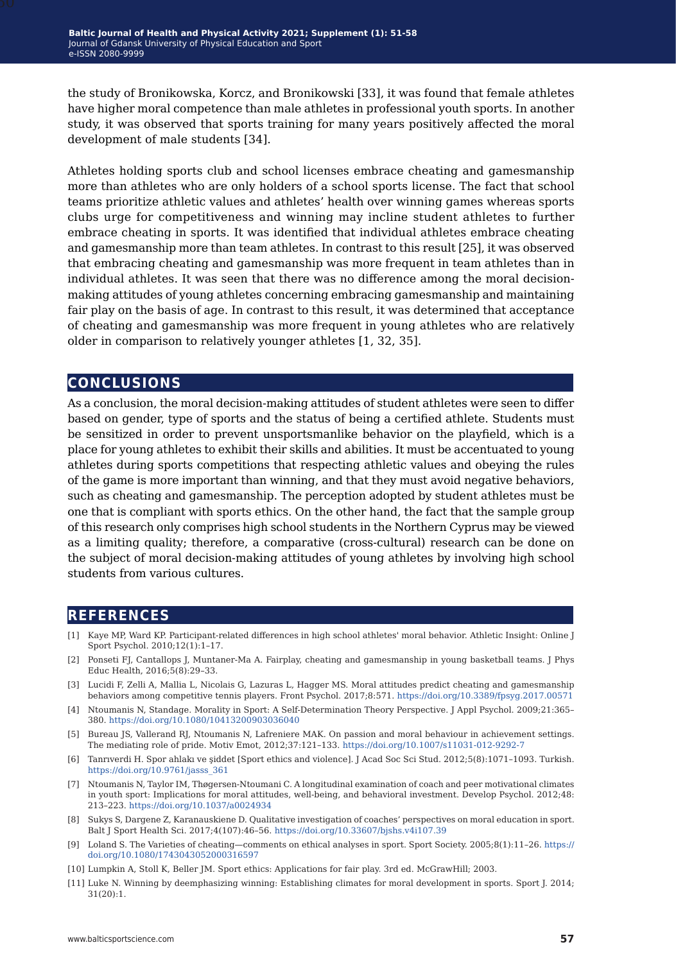the study of Bronikowska, Korcz, and Bronikowski [33], it was found that female athletes have higher moral competence than male athletes in professional youth sports. In another study, it was observed that sports training for many years positively affected the moral development of male students [34].

Athletes holding sports club and school licenses embrace cheating and gamesmanship more than athletes who are only holders of a school sports license. The fact that school teams prioritize athletic values and athletes' health over winning games whereas sports clubs urge for competitiveness and winning may incline student athletes to further embrace cheating in sports. It was identified that individual athletes embrace cheating and gamesmanship more than team athletes. In contrast to this result [25], it was observed that embracing cheating and gamesmanship was more frequent in team athletes than in individual athletes. It was seen that there was no difference among the moral decisionmaking attitudes of young athletes concerning embracing gamesmanship and maintaining fair play on the basis of age. In contrast to this result, it was determined that acceptance of cheating and gamesmanship was more frequent in young athletes who are relatively older in comparison to relatively younger athletes [1, 32, 35].

## **conclusions**

As a conclusion, the moral decision-making attitudes of student athletes were seen to differ based on gender, type of sports and the status of being a certified athlete. Students must be sensitized in order to prevent unsportsmanlike behavior on the playfield, which is a place for young athletes to exhibit their skills and abilities. It must be accentuated to young athletes during sports competitions that respecting athletic values and obeying the rules of the game is more important than winning, and that they must avoid negative behaviors, such as cheating and gamesmanship. The perception adopted by student athletes must be one that is compliant with sports ethics. On the other hand, the fact that the sample group of this research only comprises high school students in the Northern Cyprus may be viewed as a limiting quality; therefore, a comparative (cross-cultural) research can be done on the subject of moral decision-making attitudes of young athletes by involving high school students from various cultures.

### **references**

- [1] Kaye MP, Ward KP. Participant-related differences in high school athletes' moral behavior. Athletic Insight: Online J Sport Psychol. 2010;12(1):1–17.
- [2] Ponseti FJ, Cantallops J, Muntaner-Ma A. Fairplay, cheating and gamesmanship in young basketball teams. J Phys Educ Health, 2016;5(8):29–33.
- [3] Lucidi F, Zelli A, Mallia L, Nicolais G, Lazuras L, Hagger MS. Moral attitudes predict cheating and gamesmanship behaviors among competitive tennis players. Front Psychol. 2017;8:571. [https://doi.org/10.3389/fpsyg.2017.00571](https://doi.org/10.3389/fpsyg.2017.00571 )
- [4] Ntoumanis N, Standage. Morality in Sport: A Self-Determination Theory Perspective. J Appl Psychol. 2009;21:365– 380. [https://doi.org/10.1080/10413200903036040](https://doi.org/10.1080/10413200903036040 )
- [5] Bureau JS, Vallerand RJ, Ntoumanis N, Lafreniere MAK. On passion and moral behaviour in achievement settings. The mediating role of pride. Motiv Emot, 2012;37:121–133.<https://doi.org/10.1007/s11031-012-9292-7>
- [6] Tanrıverdi H. Spor ahlakı ve şiddet [Sport ethics and violence]. J Acad Soc Sci Stud. 2012;5(8):1071–1093. Turkish. [https://doi.org/10.9761/jasss\\_361](https://doi.org/10.9761/jasss_361)
- [7] Ntoumanis N, Taylor IM, Thøgersen-Ntoumani C. A longitudinal examination of coach and peer motivational climates in youth sport: Implications for moral attitudes, well-being, and behavioral investment. Develop Psychol. 2012;48: 213–223.<https://doi.org/10.1037/a0024934>
- [8] Sukys S, Dargene Z, Karanauskiene D. Qualitative investigation of coaches' perspectives on moral education in sport. Balt J Sport Health Sci. 2017;4(107):46–56.<https://doi.org/10.33607/bjshs.v4i107.39>
- [9] Loland S. The Varieties of cheating—comments on ethical analyses in sport. Sport Society. 2005;8(1):11–26. [https://](https://doi.org/10.1080/1743043052000316597 ) [doi.org/10.1080/1743043052000316597](https://doi.org/10.1080/1743043052000316597 )
- [10] Lumpkin A, Stoll K, Beller JM. Sport ethics: Applications for fair play. 3rd ed. McGrawHill; 2003.
- [11] Luke N. Winning by deemphasizing winning: Establishing climates for moral development in sports. Sport J. 2014; 31(20):1.